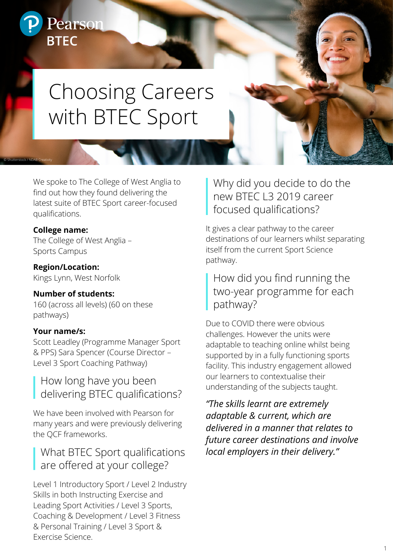# Pearson **BTEC**

# Choosing Careers with BTEC Sport

We spoke to The College of West Anglia to find out how they found delivering the latest suite of BTEC Sport career-focused qualifications.

#### **College name:**

© Shutterstock / NDAB Creativity

The College of West Anglia – Sports Campus

**Region/Location:** Kings Lynn, West Norfolk

#### **Number of students:**

160 (across all levels) (60 on these pathways)

#### **Your name/s:**

Scott Leadley (Programme Manager Sport & PPS) Sara Spencer (Course Director – Level 3 Sport Coaching Pathway)

#### How long have you been delivering BTEC qualifications?

We have been involved with Pearson for many years and were previously delivering the QCF frameworks.

#### What BTEC Sport qualifications are offered at your college?

Level 1 Introductory Sport / Level 2 Industry Skills in both Instructing Exercise and Leading Sport Activities / Level 3 Sports, Coaching & Development / Level 3 Fitness & Personal Training / Level 3 Sport & Exercise Science.

## Why did you decide to do the new BTEC L3 2019 career focused qualifications?

It gives a clear pathway to the career destinations of our learners whilst separating itself from the current Sport Science pathway.

#### How did you find running the two-year programme for each pathway?

Due to COVID there were obvious challenges. However the units were adaptable to teaching online whilst being supported by in a fully functioning sports facility. This industry engagement allowed our learners to contextualise their understanding of the subjects taught.

*"The skills learnt are extremely adaptable & current, which are delivered in a manner that relates to future career destinations and involve local employers in their delivery."*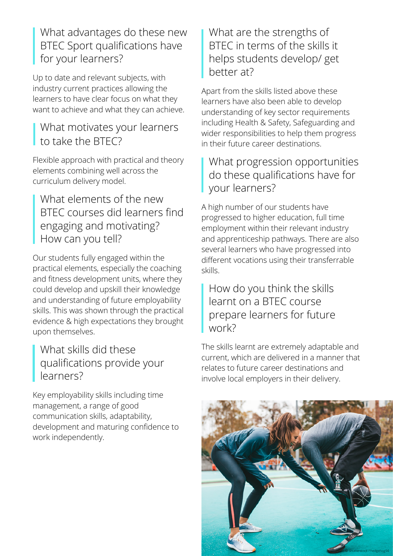What advantages do these new BTEC Sport qualifications have for your learners?

Up to date and relevant subjects, with industry current practices allowing the learners to have clear focus on what they want to achieve and what they can achieve.

#### What motivates your learners to take the BTEC?

Flexible approach with practical and theory elements combining well across the curriculum delivery model.

#### What elements of the new BTEC courses did learners find engaging and motivating? How can you tell?

Our students fully engaged within the practical elements, especially the coaching and fitness development units, where they could develop and upskill their knowledge and understanding of future employability skills. This was shown through the practical evidence & high expectations they brought upon themselves.

#### What skills did these qualifications provide your learners?

Key employability skills including time management, a range of good communication skills, adaptability, development and maturing confidence to work independently.

#### What are the strengths of BTEC in terms of the skills it helps students develop/ get better at?

Apart from the skills listed above these learners have also been able to develop understanding of key sector requirements including Health & Safety, Safeguarding and wider responsibilities to help them progress in their future career destinations.

#### What progression opportunities do these qualifications have for your learners?

A high number of our students have progressed to higher education, full time employment within their relevant industry and apprenticeship pathways. There are also several learners who have progressed into different vocations using their transferrable skills.

#### How do you think the skills learnt on a BTEC course prepare learners for future work?

The skills learnt are extremely adaptable and current, which are delivered in a manner that relates to future career destinations and involve local employers in their delivery.